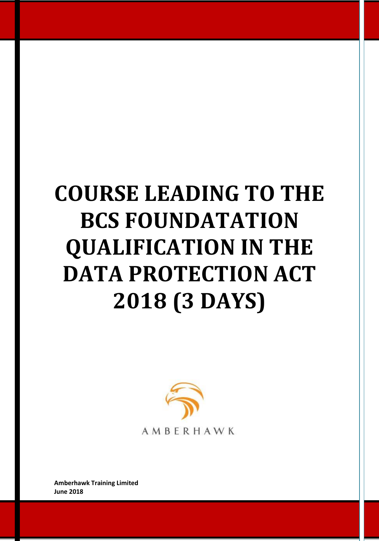# **COURSE LEADING TO THE BCS FOUNDATATION QUALIFICATION IN THE DATA PROTECTION ACT 2018 (3 DAYS)**



**Amberhawk Training Limited June 2018**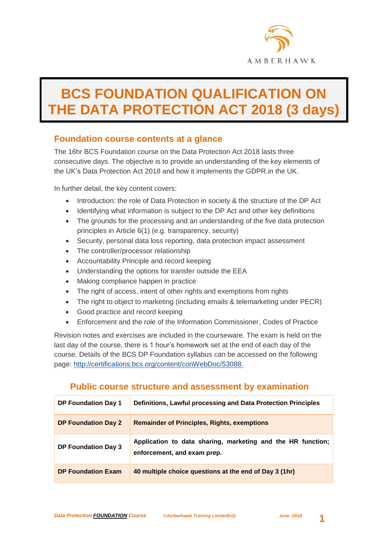

## **BCS FOUNDATION QUALIFICATION ON THE DATA PROTECTION ACT 2018 (3 days)**

### **Foundation course contents at a glance**

The 16hr BCS Foundation course on the Data Protection Act 2018 lasts three consecutive days. The objective is to provide an understanding of the key elements of the UK's Data Protection Act 2018 and how it implements the GDPR.in the UK.

In further detail, the key content covers:

- Introduction: the role of Data Protection in society & the structure of the DP Act
- Identifying what information is subject to the DP Act and other key definitions
- The grounds for the processing and an understanding of the five data protection principles in Article 6(1) (e.g. transparency, security)
- Security, personal data loss reporting, data protection impact assessment
- The controller/processor relationship
- Accountability Principle and record keeping
- Understanding the options for transfer outside the EEA
- Making compliance happen in practice
- The right of access, intent of other rights and exemptions from rights
- The right to object to marketing (including emails & telemarketing under PECR)
- Good practice and record keeping
- Enforcement and the role of the Information Commissioner, Codes of Practice

Revision notes and exercises are included in the courseware. The exam is held on the last day of the course, there is 1 hour's homework set at the end of each day of the course. Details of the BCS DP Foundation syllabus can be accessed on the following page: [http://certifications.bcs.org/content/conWebDoc/53088.](http://certifications.bcs.org/content/conWebDoc/53088)

### **Public course structure and assessment by examination**

| DP Foundation Day 1        | Definitions, Lawful processing and Data Protection Principles                              |
|----------------------------|--------------------------------------------------------------------------------------------|
| <b>DP Foundation Day 2</b> | <b>Remainder of Principles, Rights, exemptions</b>                                         |
| <b>DP Foundation Day 3</b> | Application to data sharing, marketing and the HR function;<br>enforcement, and exam prep. |
| <b>DP Foundation Exam</b>  | 40 multiple choice questions at the end of Day 3 (1hr)                                     |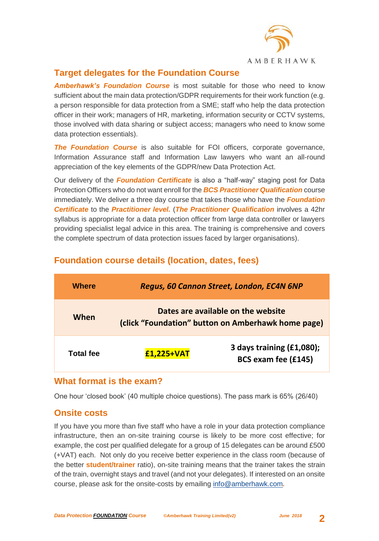

## **Target delegates for the Foundation Course**

*Amberhawk's Foundation Course* is most suitable for those who need to know sufficient about the main data protection/GDPR requirements for their work function (e.g. a person responsible for data protection from a SME; staff who help the data protection officer in their work; managers of HR, marketing, information security or CCTV systems, those involved with data sharing or subject access; managers who need to know some data protection essentials).

**The Foundation Course** is also suitable for FOI officers, corporate governance, Information Assurance staff and Information Law lawyers who want an all-round appreciation of the key elements of the GDPR/new Data Protection Act.

Our delivery of the *Foundation Certificate* is also a "half-way" staging post for Data Protection Officers who do not want enroll for the *BCS Practitioner Qualification* course immediately. We deliver a three day course that takes those who have the *Foundation Certificate* to the *Practitioner level.* (*The Practitioner Qualification* involves a 42hr syllabus is appropriate for a data protection officer from large data controller or lawyers providing specialist legal advice in this area. The training is comprehensive and covers the complete spectrum of data protection issues faced by larger organisations).

| <b>Where</b>     | Regus, 60 Cannon Street, London, EC4N 6NP |                                                                                          |  |  |  |  |  |
|------------------|-------------------------------------------|------------------------------------------------------------------------------------------|--|--|--|--|--|
| When             |                                           | Dates are available on the website<br>(click "Foundation" button on Amberhawk home page) |  |  |  |  |  |
| <b>Total fee</b> | £1,225+VAT                                | 3 days training $(f1,080)$ ;<br>BCS exam fee (£145)                                      |  |  |  |  |  |

### **Foundation course details (location, dates, fees)**

### **What format is the exam?**

One hour 'closed book' (40 multiple choice questions). The pass mark is 65% (26/40)

#### **Onsite costs**

If you have you more than five staff who have a role in your data protection compliance infrastructure, then an on-site training course is likely to be more cost effective; for example, the cost per qualified delegate for a group of 15 delegates can be around £500 (+VAT) each. Not only do you receive better experience in the class room (because of the better **student/trainer** ratio), on-site training means that the trainer takes the strain of the train, overnight stays and travel (and not your delegates). If interested on an onsite course, please ask for the onsite-costs by emailing [info@amberhawk.com](mailto:info@amberhawk.com)*.*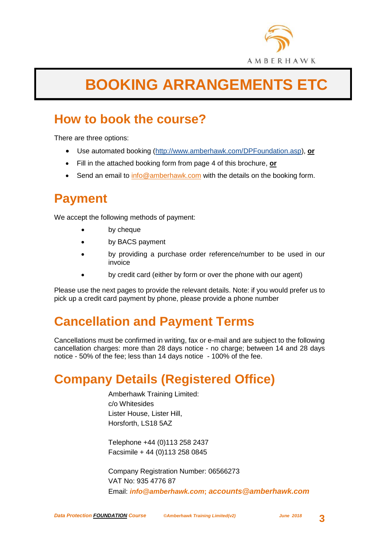

## **BOOKING ARRANGEMENTS ETC**

## **How to book the course?**

There are three options:

- Use automated booking [\(http://www.amberhawk.com/DPFoundation.asp\)](http://www.amberhawk.com/DPFoundation.asp), **or**
- Fill in the attached booking form from page 4 of this brochure, **or**
- Send an email to info@amberhawk.com with the details on the booking form.

## **Payment**

We accept the following methods of payment:

- by cheque
- by BACS payment
- by providing a purchase order reference/number to be used in our invoice
- by credit card (either by form or over the phone with our agent)

Please use the next pages to provide the relevant details. Note: if you would prefer us to pick up a credit card payment by phone, please provide a phone number

## **Cancellation and Payment Terms**

Cancellations must be confirmed in writing, fax or e-mail and are subject to the following cancellation charges: more than 28 days notice - no charge; between 14 and 28 days notice - 50% of the fee; less than 14 days notice - 100% of the fee.

## **Company Details (Registered Office)**

Amberhawk Training Limited: c/o Whitesides Lister House, Lister Hill, Horsforth, LS18 5AZ

Telephone +44 (0)113 258 2437 Facsimile + 44 (0)113 258 0845

Company Registration Number: 06566273 VAT No: 935 4776 87 Email: *info@amberhawk.com***;** *[accounts@amberhawk.com](mailto:accounts@amberhawk.com)*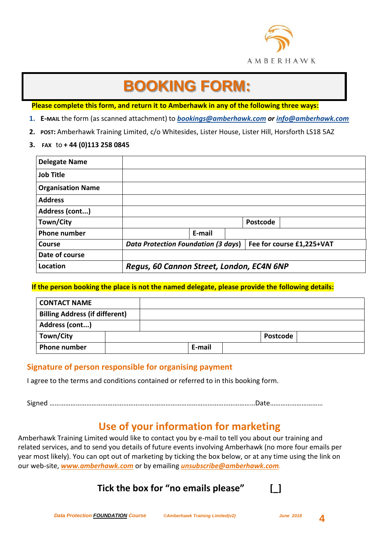

## **BOOKING FORM:**

**Please complete this form, and return it to Amberhawk in any of the following three ways:** 

- **1. E-MAIL** the form (as scanned attachment) to *[bookings@amberhawk.com](mailto:bookings@amberhawk.com) or [info@amberhawk.com](mailto:info@amberhawk.com)*
- **2. POST:** Amberhawk Training Limited, c/o Whitesides, Lister House, Lister Hill, Horsforth LS18 5AZ
- **3. FAX** to **+ 44 (0)113 258 0845**

| <b>Delegate Name</b>     |                                           |        |  |                           |  |  |
|--------------------------|-------------------------------------------|--------|--|---------------------------|--|--|
| <b>Job Title</b>         |                                           |        |  |                           |  |  |
| <b>Organisation Name</b> |                                           |        |  |                           |  |  |
| <b>Address</b>           |                                           |        |  |                           |  |  |
| Address (cont)           |                                           |        |  |                           |  |  |
| Town/City                |                                           |        |  | Postcode                  |  |  |
| <b>Phone number</b>      |                                           | E-mail |  |                           |  |  |
| Course                   | Data Protection Foundation (3 days)       |        |  | Fee for course £1,225+VAT |  |  |
| Date of course           |                                           |        |  |                           |  |  |
| Location                 | Regus, 60 Cannon Street, London, EC4N 6NP |        |  |                           |  |  |

#### **If the person booking the place is not the named delegate, please provide the following details:**

| <b>CONTACT NAME</b>                   |  |        |          |  |
|---------------------------------------|--|--------|----------|--|
| <b>Billing Address (if different)</b> |  |        |          |  |
| Address (cont)                        |  |        |          |  |
| Town/City                             |  |        | Postcode |  |
| <b>Phone number</b>                   |  | E-mail |          |  |

#### **Signature of person responsible for organising payment**

I agree to the terms and conditions contained or referred to in this booking form.

Signed ………………………………………………………………………………………………………Date…………………………

## **Use of your information for marketing**

Amberhawk Training Limited would like to contact you by e-mail to tell you about our training and related services, and to send you details of future events involving Amberhawk (no more four emails per year most likely). You can opt out of marketing by ticking the box below, or at any time using the link on our web-site, *[www.amberhawk.com](http://www.amberhawk.com/)* or by emailing *[unsubscribe@amberhawk.com](mailto:unsubscribe@amberhawk.com).*

## **Tick the box for "no emails please" [\_]**